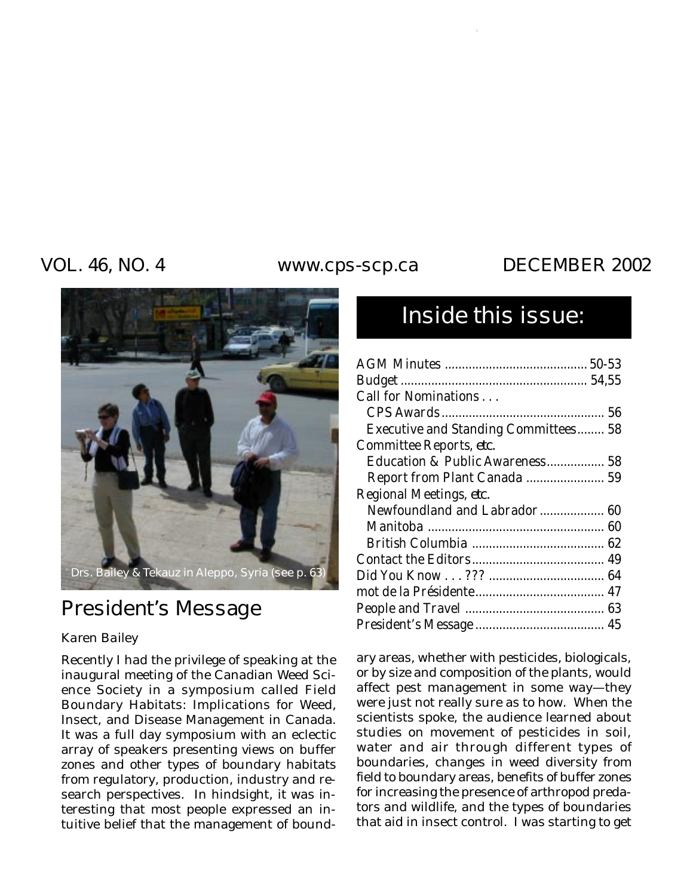### VOL. 46, NO. 4 www.cps-scp.ca DECEMBER 2002



# President's Message

### *Karen Bailey*

Recently I had the privilege of speaking at the inaugural meeting of the Canadian Weed Science Society in a symposium called Field Boundary Habitats: Implications for Weed, Insect, and Disease Management in Canada. It was a full day symposium with an eclectic array of speakers presenting views on buffer zones and other types of boundary habitats from regulatory, production, industry and research perspectives. In hindsight, it was interesting that most people expressed an intuitive belief that the management of bound-

# Inside this issue:

| Call for Nominations                 |  |
|--------------------------------------|--|
|                                      |  |
| Executive and Standing Committees 58 |  |
| Committee Reports, etc.              |  |
| Education & Public Awareness 58      |  |
| Report from Plant Canada  59         |  |
| Regional Meetings, etc.              |  |
| Newfoundland and Labrador 60         |  |
|                                      |  |
|                                      |  |
|                                      |  |
|                                      |  |
|                                      |  |
|                                      |  |
|                                      |  |

ary areas, whether with pesticides, biologicals, or by size and composition of the plants, would affect pest management in some way—they were just not really sure as to how. When the scientists spoke, the audience learned about studies on movement of pesticides in soil, water and air through different types of boundaries, changes in weed diversity from field to boundary areas, benefits of buffer zones for increasing the presence of arthropod predators and wildlife, and the types of boundaries that aid in insect control. I was starting to get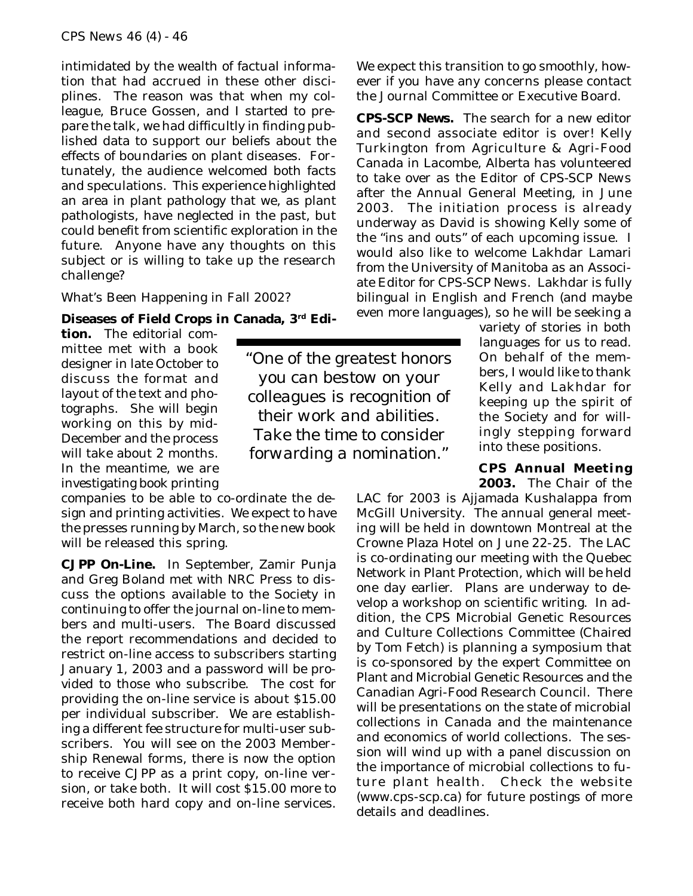intimidated by the wealth of factual information that had accrued in these other disciplines. The reason was that when my colleague, Bruce Gossen, and I started to prepare the talk, we had difficultly in finding published data to support our beliefs about the effects of boundaries on plant diseases. Fortunately, the audience welcomed both facts and speculations. This experience highlighted an area in plant pathology that we, as plant pathologists, have neglected in the past, but could benefit from scientific exploration in the future. Anyone have any thoughts on this subject or is willing to take up the research challenge?

What's Been Happening in Fall 2002?

#### **Diseases of Field Crops in Canada, 3rd Edi-**

**tion.** The editorial committee met with a book designer in late October to discuss the format and layout of the text and photographs. She will begin working on this by mid-December and the process will take about 2 months. In the meantime, we are investigating book printing

companies to be able to co-ordinate the design and printing activities. We expect to have the presses running by March, so the new book will be released this spring.

**CJPP On-Line.** In September, Zamir Punja and Greg Boland met with NRC Press to discuss the options available to the Society in continuing to offer the journal on-line to members and multi-users. The Board discussed the report recommendations and decided to restrict on-line access to subscribers starting January 1, 2003 and a password will be provided to those who subscribe. The cost for providing the on-line service is about \$15.00 per individual subscriber. We are establishing a different fee structure for multi-user subscribers. You will see on the 2003 Membership Renewal forms, there is now the option to receive *CJPP* as a print copy, on-line version, or take both. It will cost \$15.00 more to receive both hard copy and on-line services.

*"One of the greatest honors you can bestow on your colleagues is recognition of their work and abilities. Take the time to consider forwarding a nomination."*

We expect this transition to go smoothly, however if you have any concerns please contact the Journal Committee or Executive Board.

**CPS-SCP News.** The search for a new editor and second associate editor is over! Kelly Turkington from Agriculture & Agri-Food Canada in Lacombe, Alberta has volunteered to take over as the Editor of *CPS-SCP News* after the Annual General Meeting, in June 2003. The initiation process is already underway as David is showing Kelly some of the "ins and outs" of each upcoming issue. I would also like to welcome Lakhdar Lamari from the University of Manitoba as an Associate Editor for *CPS-SCP News*. Lakhdar is fully bilingual in English and French (and maybe even more languages), so he will be seeking a

> variety of stories in both languages for us to read. On behalf of the members, I would like to thank Kelly and Lakhdar for keeping up the spirit of the Society and for willingly stepping forward into these positions.

### **CPS Annual Meeting**

**2003.** The Chair of the LAC for 2003 is Ajjamada Kushalappa from McGill University. The annual general meeting will be held in downtown Montreal at the Crowne Plaza Hotel on June 22-25. The LAC is co-ordinating our meeting with the Quebec Network in Plant Protection, which will be held one day earlier. Plans are underway to develop a workshop on scientific writing. In addition, the CPS Microbial Genetic Resources and Culture Collections Committee (Chaired by Tom Fetch) is planning a symposium that is co-sponsored by the expert Committee on Plant and Microbial Genetic Resources and the Canadian Agri-Food Research Council. There will be presentations on the state of microbial collections in Canada and the maintenance and economics of world collections. The session will wind up with a panel discussion on the importance of microbial collections to future plant health. Check the website (www.cps-scp.ca) for future postings of more details and deadlines.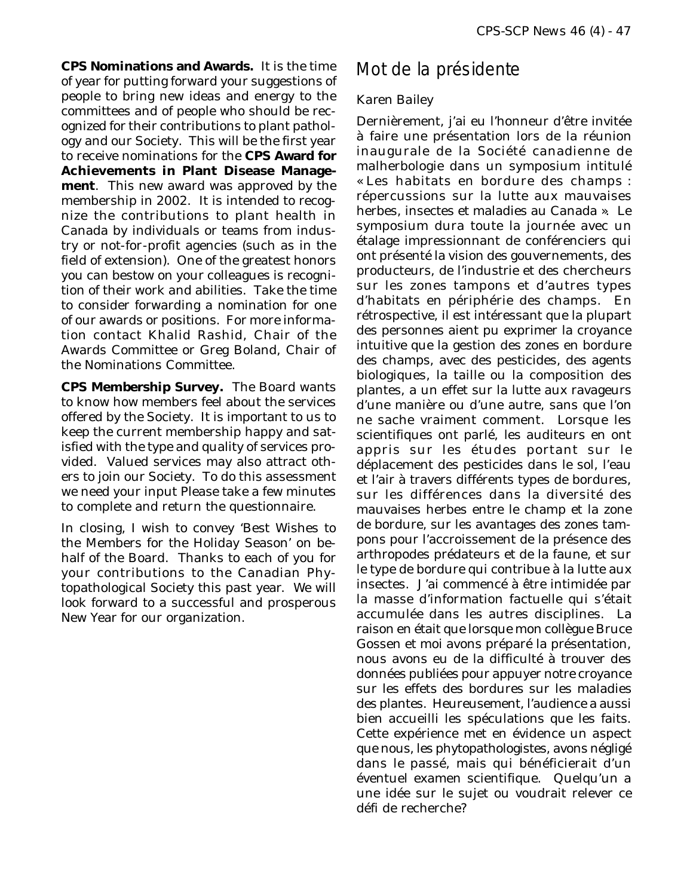**CPS Nominations and Awards.** It is the time of year for putting forward your suggestions of people to bring new ideas and energy to the committees and of people who should be recognized for their contributions to plant pathology and our Society. This will be the first year to receive nominations for the **CPS Award for Achievements in Plant Disease Management**. This new award was approved by the membership in 2002. It is intended to recognize the contributions to plant health in Canada by individuals or teams from industry or not-for-profit agencies (such as in the field of extension). One of the greatest honors you can bestow on your colleagues is recognition of their work and abilities. Take the time to consider forwarding a nomination for one of our awards or positions. For more information contact Khalid Rashid, Chair of the Awards Committee or Greg Boland, Chair of the Nominations Committee.

**CPS Membership Survey.** The Board wants to know how members feel about the services offered by the Society. It is important to us to keep the current membership happy and satisfied with the type and quality of services provided. Valued services may also attract others to join our Society. To do this assessment we need your input Please take a few minutes to complete and return the questionnaire.

In closing, I wish to convey 'Best Wishes to the Members for the Holiday Season' on behalf of the Board. Thanks to each of you for your contributions to the Canadian Phytopathological Society this past year. We will look forward to a successful and prosperous New Year for our organization.

### Mot de la présidente

### *Karen Bailey*

Dernièrement, j'ai eu l'honneur d'être invitée à faire une présentation lors de la réunion inaugurale de la Société canadienne de malherbologie dans un symposium intitulé « Les habitats en bordure des champs : répercussions sur la lutte aux mauvaises herbes, insectes et maladies au Canada ». Le symposium dura toute la journée avec un étalage impressionnant de conférenciers qui ont présenté la vision des gouvernements, des producteurs, de l'industrie et des chercheurs sur les zones tampons et d'autres types d'habitats en périphérie des champs. En rétrospective, il est intéressant que la plupart des personnes aient pu exprimer la croyance intuitive que la gestion des zones en bordure des champs, avec des pesticides, des agents biologiques, la taille ou la composition des plantes, a un effet sur la lutte aux ravageurs d'une manière ou d'une autre, sans que l'on ne sache vraiment comment. Lorsque les scientifiques ont parlé, les auditeurs en ont appris sur les études portant sur le déplacement des pesticides dans le sol, l'eau et l'air à travers différents types de bordures, sur les différences dans la diversité des mauvaises herbes entre le champ et la zone de bordure, sur les avantages des zones tampons pour l'accroissement de la présence des arthropodes prédateurs et de la faune, et sur le type de bordure qui contribue à la lutte aux insectes. J'ai commencé à être intimidée par la masse d'information factuelle qui s'était accumulée dans les autres disciplines. La raison en était que lorsque mon collègue Bruce Gossen et moi avons préparé la présentation, nous avons eu de la difficulté à trouver des données publiées pour appuyer notre croyance sur les effets des bordures sur les maladies des plantes. Heureusement, l'audience a aussi bien accueilli les spéculations que les faits. Cette expérience met en évidence un aspect que nous, les phytopathologistes, avons négligé dans le passé, mais qui bénéficierait d'un éventuel examen scientifique. Quelqu'un a une idée sur le sujet ou voudrait relever ce défi de recherche?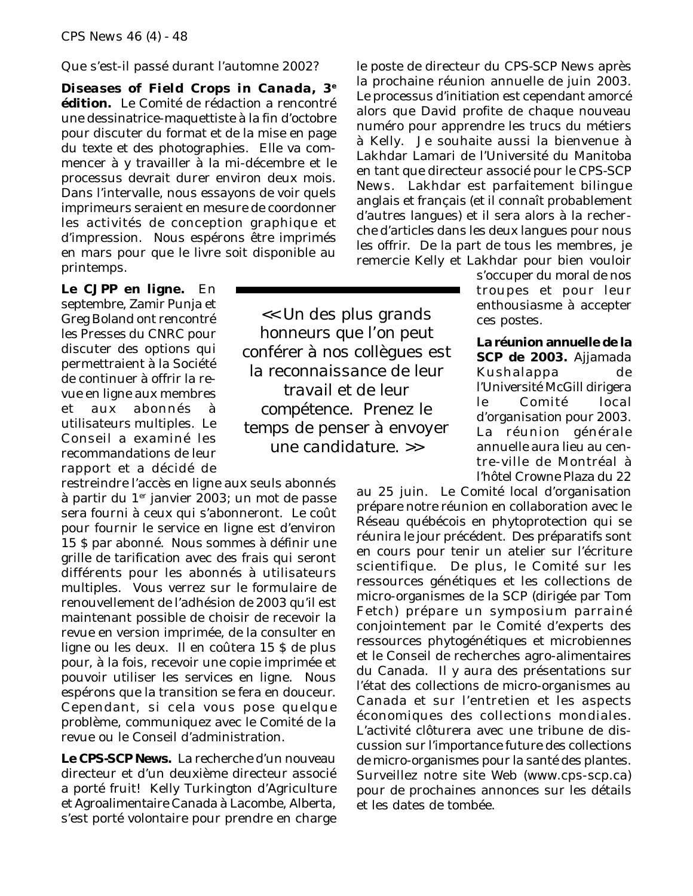Que s'est-il passé durant l'automne 2002?

*Diseases of Field Crops in Canada***, 3e édition.** Le Comité de rédaction a rencontré une dessinatrice-maquettiste à la fin d'octobre pour discuter du format et de la mise en page du texte et des photographies. Elle va commencer à y travailler à la mi-décembre et le processus devrait durer environ deux mois. Dans l'intervalle, nous essayons de voir quels imprimeurs seraient en mesure de coordonner les activités de conception graphique et d'impression. Nous espérons être imprimés en mars pour que le livre soit disponible au printemps.

**Le** *CJPP* **en ligne.** En septembre, Zamir Punja et Greg Boland ont rencontré les Presses du CNRC pour discuter des options qui permettraient à la Société de continuer à offrir la revue en ligne aux membres et aux abonnés à utilisateurs multiples. Le Conseil a examiné les recommandations de leur rapport et a décidé de

restreindre l'accès en ligne aux seuls abonnés à partir du 1er janvier 2003; un mot de passe sera fourni à ceux qui s'abonneront. Le coût pour fournir le service en ligne est d'environ 15 \$ par abonné. Nous sommes à définir une grille de tarification avec des frais qui seront différents pour les abonnés à utilisateurs multiples. Vous verrez sur le formulaire de renouvellement de l'adhésion de 2003 qu'il est maintenant possible de choisir de recevoir la revue en version imprimée, de la consulter en ligne ou les deux. Il en coûtera 15 \$ de plus pour, à la fois, recevoir une copie imprimée et pouvoir utiliser les services en ligne. Nous espérons que la transition se fera en douceur. Cependant, si cela vous pose quelque problème, communiquez avec le Comité de la revue ou le Conseil d'administration.

**Le** *CPS-SCP News***.** La recherche d'un nouveau directeur et d'un deuxième directeur associé a porté fruit! Kelly Turkington d'Agriculture et Agroalimentaire Canada à Lacombe, Alberta, s'est porté volontaire pour prendre en charge

*<< Un des plus grands honneurs que l'on peut conférer à nos collègues est la reconnaissance de leur travail et de leur compétence. Prenez le temps de penser à envoyer une candidature. >>*

le poste de directeur du *CPS-SCP News* après la prochaine réunion annuelle de juin 2003. Le processus d'initiation est cependant amorcé alors que David profite de chaque nouveau numéro pour apprendre les trucs du métiers à Kelly. Je souhaite aussi la bienvenue à Lakhdar Lamari de l'Université du Manitoba en tant que directeur associé pour le *CPS-SCP News*. Lakhdar est parfaitement bilingue anglais et français (et il connaît probablement d'autres langues) et il sera alors à la recherche d'articles dans les deux langues pour nous les offrir. De la part de tous les membres, je remercie Kelly et Lakhdar pour bien vouloir

s'occuper du moral de nos troupes et pour leur enthousiasme à accepter ces postes.

**La réunion annuelle de la SCP de 2003.** Ajjamada Kushalappa de l'Université McGill dirigera le Comité local d'organisation pour 2003. La réunion générale annuelle aura lieu au centre-ville de Montréal à l'hôtel Crowne Plaza du 22

au 25 juin. Le Comité local d'organisation prépare notre réunion en collaboration avec le Réseau québécois en phytoprotection qui se réunira le jour précédent. Des préparatifs sont en cours pour tenir un atelier sur l'écriture scientifique. De plus, le Comité sur les ressources génétiques et les collections de micro-organismes de la SCP (dirigée par Tom Fetch) prépare un symposium parrainé conjointement par le Comité d'experts des ressources phytogénétiques et microbiennes et le Conseil de recherches agro-alimentaires du Canada. Il y aura des présentations sur l'état des collections de micro-organismes au Canada et sur l'entretien et les aspects économiques des collections mondiales. L'activité clôturera avec une tribune de discussion sur l'importance future des collections de micro-organismes pour la santé des plantes. Surveillez notre site Web (www.cps-scp.ca) pour de prochaines annonces sur les détails et les dates de tombée.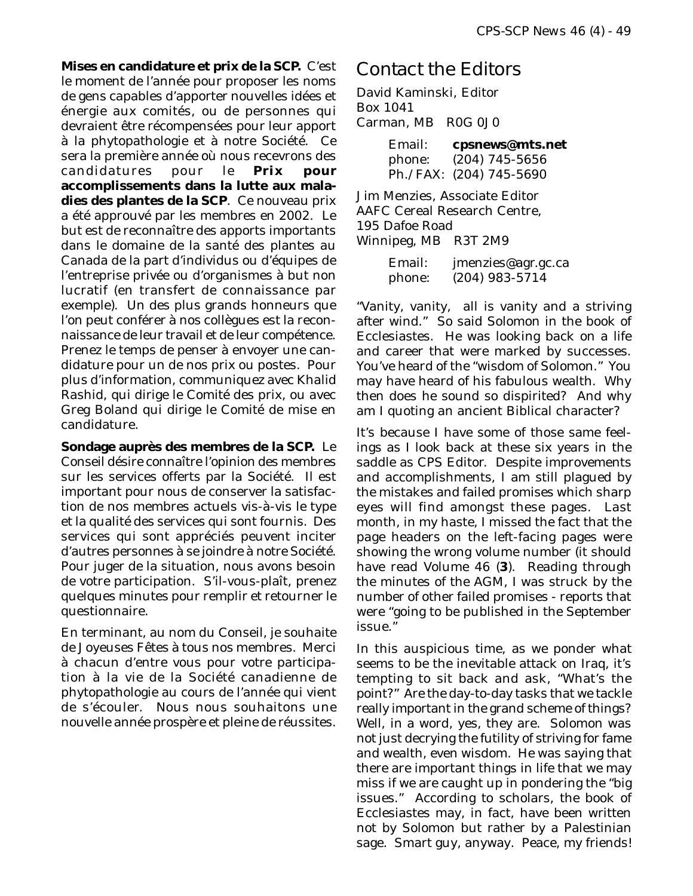**Mises en candidature et prix de la SCP.** C'est le moment de l'année pour proposer les noms de gens capables d'apporter nouvelles idées et énergie aux comités, ou de personnes qui devraient être récompensées pour leur apport à la phytopathologie et à notre Société. Ce sera la première année où nous recevrons des candidatures pour le **Prix pour accomplissements dans la lutte aux maladies des plantes de la SCP**. Ce nouveau prix a été approuvé par les membres en 2002. Le but est de reconnaître des apports importants dans le domaine de la santé des plantes au Canada de la part d'individus ou d'équipes de l'entreprise privée ou d'organismes à but non lucratif (en transfert de connaissance par exemple). Un des plus grands honneurs que l'on peut conférer à nos collègues est la reconnaissance de leur travail et de leur compétence. Prenez le temps de penser à envoyer une candidature pour un de nos prix ou postes. Pour plus d'information, communiquez avec Khalid Rashid, qui dirige le Comité des prix, ou avec Greg Boland qui dirige le Comité de mise en candidature.

**Sondage auprès des membres de la SCP.** Le Conseil désire connaître l'opinion des membres sur les services offerts par la Société. Il est important pour nous de conserver la satisfaction de nos membres actuels vis-à-vis le type et la qualité des services qui sont fournis. Des services qui sont appréciés peuvent inciter d'autres personnes à se joindre à notre Société. Pour juger de la situation, nous avons besoin de votre participation. S'il-vous-plaît, prenez quelques minutes pour remplir et retourner le questionnaire.

En terminant, au nom du Conseil, je souhaite de Joyeuses Fêtes à tous nos membres. Merci à chacun d'entre vous pour votre participation à la vie de la Société canadienne de phytopathologie au cours de l'année qui vient de s'écouler. Nous nous souhaitons une nouvelle année prospère et pleine de réussites.

### Contact the Editors

David Kaminski, Editor Box 1041 Carman, MB R0G 0J0

| Email: | cpsnews@mts.net         |
|--------|-------------------------|
| phone: | $(204)$ 745-5656        |
|        | Ph./FAX: (204) 745-5690 |

Jim Menzies, Associate Editor AAFC Cereal Research Centre, 195 Dafoe Road Winnipeg, MB R3T 2M9

| Email: | jmenzies@agr.gc.ca |
|--------|--------------------|
| phone: | $(204)$ 983-5714   |

"Vanity, vanity, all is vanity and a striving after wind." So said Solomon in the book of Ecclesiastes. He was looking back on a life and career that were marked by successes. You've heard of the "wisdom of Solomon." You may have heard of his fabulous wealth. Why then does he sound so dispirited? And why am I quoting an ancient Biblical character?

It's because I have some of those same feelings as I look back at these six years in the saddle as CPS Editor. Despite improvements and accomplishments, I am still plagued by the mistakes and failed promises which sharp eyes will find amongst these pages. Last month, in my haste, I missed the fact that the page headers on the left-facing pages were showing the wrong volume number (it *should* have read Volume 46 (**3**). Reading through the minutes of the AGM, I was struck by the number of other failed promises - reports that were "going to be published in the September issue."

In this auspicious time, as we ponder what seems to be the inevitable attack on Iraq, it's tempting to sit back and ask, "What's the point?" Are the day-to-day tasks that we tackle really important in the grand scheme of things? Well, in a word, yes, they are. Solomon was not just decrying the futility of striving for fame and wealth, even wisdom. He was saying that there are important things in life that we may miss if we are caught up in pondering the "big issues." According to scholars, the book of Ecclesiastes may, in fact, have been written not by Solomon but rather by a Palestinian sage. Smart guy, anyway. Peace, my friends!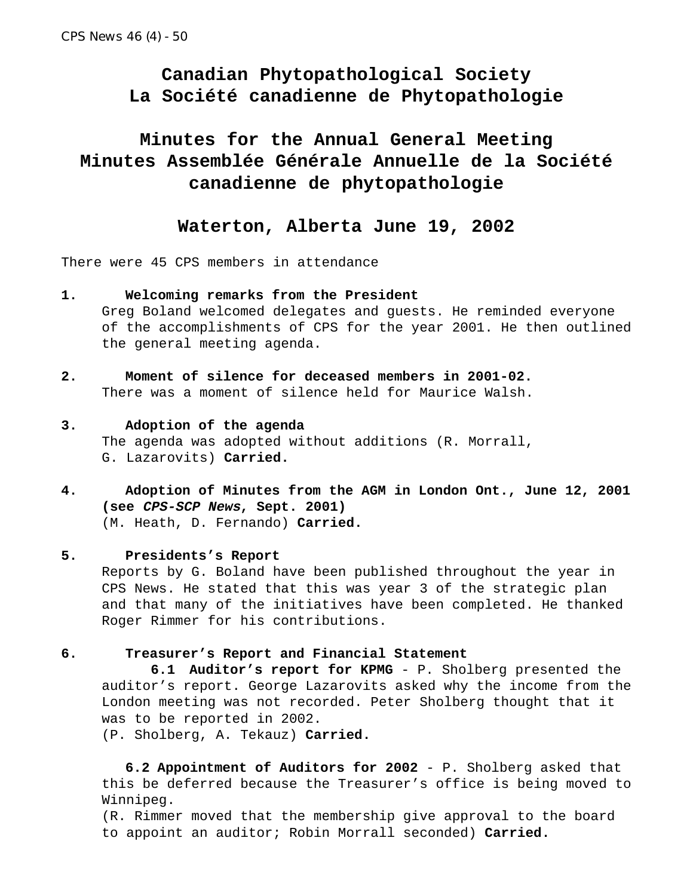### **Canadian Phytopathological Society La Société canadienne de Phytopathologie**

## **Minutes for the Annual General Meeting Minutes Assemblée Générale Annuelle de la Société canadienne de phytopathologie**

### **Waterton, Alberta June 19, 2002**

There were 45 CPS members in attendance

- **1. Welcoming remarks from the President** Greg Boland welcomed delegates and guests. He reminded everyone of the accomplishments of CPS for the year 2001. He then outlined the general meeting agenda.
- **2. Moment of silence for deceased members in 2001-02.** There was a moment of silence held for Maurice Walsh.

### **3. Adoption of the agenda** The agenda was adopted without additions (R. Morrall, G. Lazarovits) **Carried.**

**4. Adoption of Minutes from the AGM in London Ont., June 12, 2001 (see CPS-SCP News, Sept. 2001)** (M. Heath, D. Fernando) **Carried.**

#### **5. Presidents's Report**

Reports by G. Boland have been published throughout the year in CPS News. He stated that this was year 3 of the strategic plan and that many of the initiatives have been completed. He thanked Roger Rimmer for his contributions.

#### **6. Treasurer's Report and Financial Statement**

 **6.1 Auditor's report for KPMG** - P. Sholberg presented the auditor's report. George Lazarovits asked why the income from the London meeting was not recorded. Peter Sholberg thought that it was to be reported in 2002.

(P. Sholberg, A. Tekauz) **Carried.**

**6.2 Appointment of Auditors for 2002** - P. Sholberg asked that this be deferred because the Treasurer's office is being moved to Winnipeg.

(R. Rimmer moved that the membership give approval to the board to appoint an auditor; Robin Morrall seconded) **Carried.**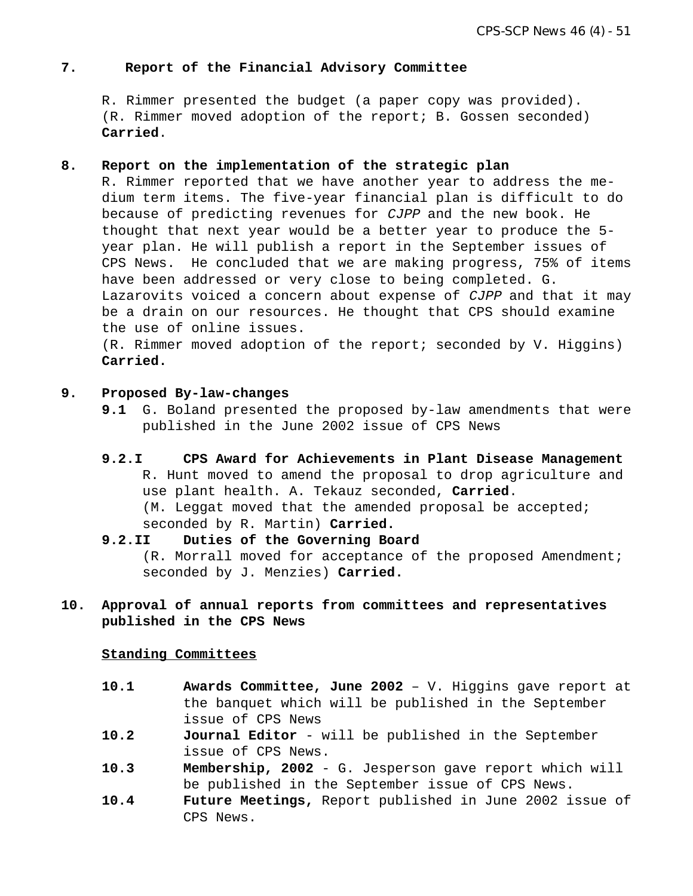#### **7. Report of the Financial Advisory Committee**

R. Rimmer presented the budget (a paper copy was provided). (R. Rimmer moved adoption of the report; B. Gossen seconded) **Carried**.

#### **8. Report on the implementation of the strategic plan**

R. Rimmer reported that we have another year to address the medium term items. The five-year financial plan is difficult to do because of predicting revenues for CJPP and the new book. He thought that next year would be a better year to produce the 5 year plan. He will publish a report in the September issues of CPS News. He concluded that we are making progress, 75% of items have been addressed or very close to being completed. G. Lazarovits voiced a concern about expense of *CJPP* and that it may be a drain on our resources. He thought that CPS should examine the use of online issues.

(R. Rimmer moved adoption of the report; seconded by V. Higgins) **Carried.**

#### **9. Proposed By-law-changes**

- **9.1** G. Boland presented the proposed by-law amendments that were published in the June 2002 issue of CPS News
- **9.2.I CPS Award for Achievements in Plant Disease Management** R. Hunt moved to amend the proposal to drop agriculture and use plant health. A. Tekauz seconded, **Carried**. (M. Leggat moved that the amended proposal be accepted; seconded by R. Martin) **Carried.**
- **9.2.II Duties of the Governing Board** (R. Morrall moved for acceptance of the proposed Amendment; seconded by J. Menzies) **Carried.**
- **10. Approval of annual reports from committees and representatives published in the CPS News**

#### **Standing Committees**

- **10.1 Awards Committee, June 2002** V. Higgins gave report at the banquet which will be published in the September issue of CPS News
- **10.2 Journal Editor** will be published in the September issue of CPS News.
- **10.3 Membership, 2002** G. Jesperson gave report which will be published in the September issue of CPS News.
- **10.4 Future Meetings,** Report published in June 2002 issue of CPS News.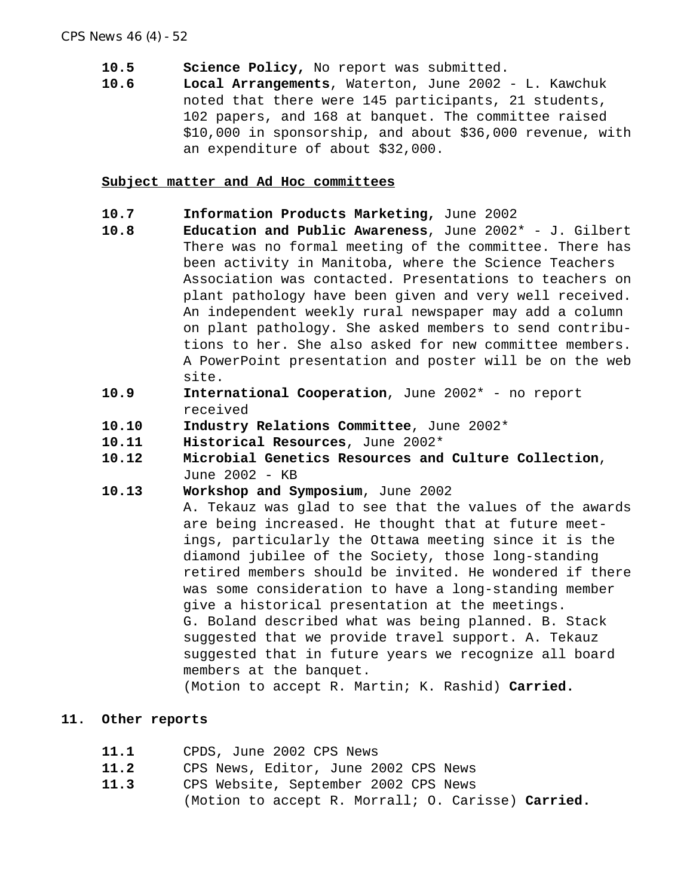- **10.5 Science Policy,** No report was submitted.
- **10.6 Local Arrangements**, Waterton, June 2002 L. Kawchuk noted that there were 145 participants, 21 students, 102 papers, and 168 at banquet. The committee raised \$10,000 in sponsorship, and about \$36,000 revenue, with an expenditure of about \$32,000.

#### **Subject matter and Ad Hoc committees**

- **10.7 Information Products Marketing,** June 2002
- **10.8 Education and Public Awareness**, June 2002\* J. Gilbert There was no formal meeting of the committee. There has been activity in Manitoba, where the Science Teachers Association was contacted. Presentations to teachers on plant pathology have been given and very well received. An independent weekly rural newspaper may add a column on plant pathology. She asked members to send contributions to her. She also asked for new committee members. A PowerPoint presentation and poster will be on the web site.
- **10.9 International Cooperation**, June 2002\* no report received
- **10.10 Industry Relations Committee**, June 2002\*
- **10.11 Historical Resources**, June 2002\*
- **10.12 Microbial Genetics Resources and Culture Collection**, June 2002 - KB
- **10.13 Workshop and Symposium**, June 2002

A. Tekauz was glad to see that the values of the awards are being increased. He thought that at future meetings, particularly the Ottawa meeting since it is the diamond jubilee of the Society, those long-standing retired members should be invited. He wondered if there was some consideration to have a long-standing member give a historical presentation at the meetings. G. Boland described what was being planned. B. Stack suggested that we provide travel support. A. Tekauz suggested that in future years we recognize all board members at the banquet.

(Motion to accept R. Martin; K. Rashid) **Carried.**

#### **11. Other reports**

- **11.1** CPDS, June 2002 CPS News
- **11.2** CPS News, Editor, June 2002 CPS News
- **11.3** CPS Website, September 2002 CPS News (Motion to accept R. Morrall; O. Carisse) **Carried.**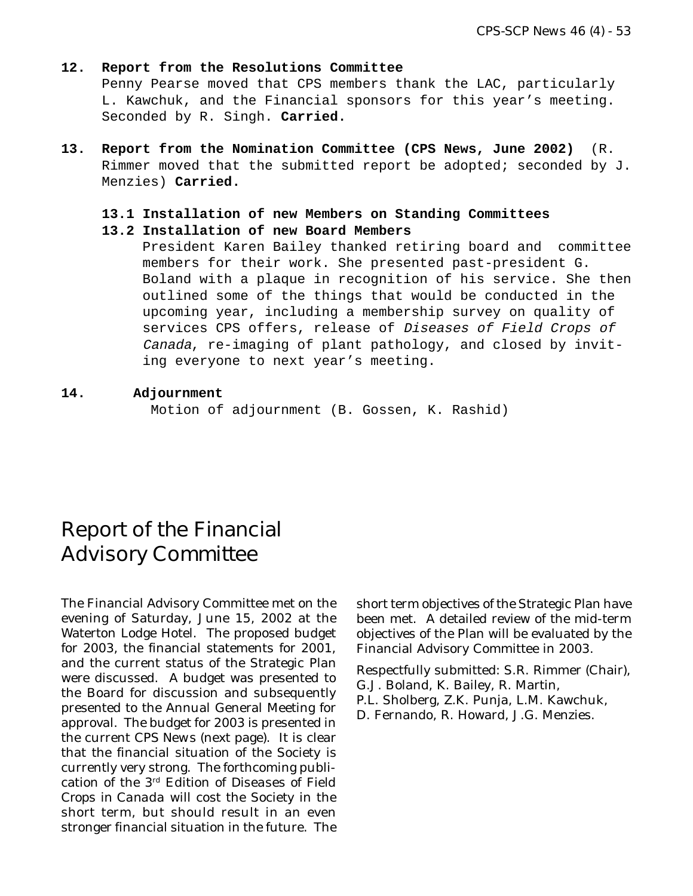### **12. Report from the Resolutions Committee** Penny Pearse moved that CPS members thank the LAC, particularly L. Kawchuk, and the Financial sponsors for this year's meeting. Seconded by R. Singh. **Carried.**

**13. Report from the Nomination Committee (CPS News, June 2002)** (R. Rimmer moved that the submitted report be adopted; seconded by J. Menzies) **Carried.**

### **13.1 Installation of new Members on Standing Committees**

**13.2 Installation of new Board Members**

President Karen Bailey thanked retiring board and committee members for their work. She presented past-president G. Boland with a plaque in recognition of his service. She then outlined some of the things that would be conducted in the upcoming year, including a membership survey on quality of services CPS offers, release of Diseases of Field Crops of Canada, re-imaging of plant pathology, and closed by inviting everyone to next year's meeting.

### **14. Adjournment**

Motion of adjournment (B. Gossen, K. Rashid)

# Report of the Financial Advisory Committee

The Financial Advisory Committee met on the evening of Saturday, June 15, 2002 at the Waterton Lodge Hotel. The proposed budget for 2003, the financial statements for 2001, and the current status of the Strategic Plan were discussed. A budget was presented to the Board for discussion and subsequently presented to the Annual General Meeting for approval. The budget for 2003 is presented in the current *CPS News* (next page). It is clear that the financial situation of the Society is currently very strong. The forthcoming publication of the 3rd Edition of *Diseases of Field Crops in Canada* will cost the Society in the short term, but should result in an even stronger financial situation in the future. The

short term objectives of the Strategic Plan have been met. A detailed review of the mid-term objectives of the Plan will be evaluated by the Financial Advisory Committee in 2003.

Respectfully submitted: S.R. Rimmer (Chair), G.J. Boland, K. Bailey, R. Martin,

P.L. Sholberg, Z.K. Punja, L.M. Kawchuk,

D. Fernando, R. Howard, J.G. Menzies.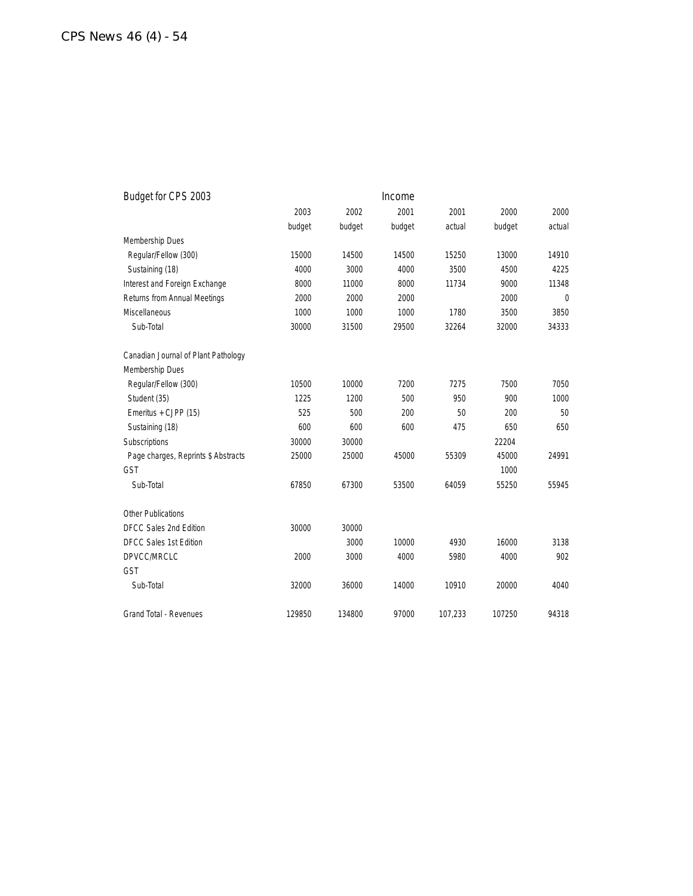| Budget for CPS 2003                 |        |        | Income |         |        |          |
|-------------------------------------|--------|--------|--------|---------|--------|----------|
|                                     | 2003   | 2002   | 2001   | 2001    | 2000   | 2000     |
|                                     | budget | budget | budget | actual  | budget | actual   |
| Membership Dues                     |        |        |        |         |        |          |
| Regular/Fellow (300)                | 15000  | 14500  | 14500  | 15250   | 13000  | 14910    |
| Sustaining (18)                     | 4000   | 3000   | 4000   | 3500    | 4500   | 4225     |
| Interest and Foreign Exchange       | 8000   | 11000  | 8000   | 11734   | 9000   | 11348    |
| Returns from Annual Meetings        | 2000   | 2000   | 2000   |         | 2000   | $\theta$ |
| <b>Miscellaneous</b>                | 1000   | 1000   | 1000   | 1780    | 3500   | 3850     |
| Sub-Total                           | 30000  | 31500  | 29500  | 32264   | 32000  | 34333    |
| Canadian Journal of Plant Pathology |        |        |        |         |        |          |
| Membership Dues                     |        |        |        |         |        |          |
| Regular/Fellow (300)                | 10500  | 10000  | 7200   | 7275    | 7500   | 7050     |
| Student (35)                        | 1225   | 1200   | 500    | 950     | 900    | 1000     |
| Emeritus + CJPP (15)                | 525    | 500    | 200    | 50      | 200    | 50       |
| Sustaining (18)                     | 600    | 600    | 600    | 475     | 650    | 650      |
| Subscriptions                       | 30000  | 30000  |        |         | 22204  |          |
| Page charges, Reprints \$ Abstracts | 25000  | 25000  | 45000  | 55309   | 45000  | 24991    |
| <b>GST</b>                          |        |        |        |         | 1000   |          |
| Sub-Total                           | 67850  | 67300  | 53500  | 64059   | 55250  | 55945    |
| Other Publications                  |        |        |        |         |        |          |
| <b>DFCC Sales 2nd Edition</b>       | 30000  | 30000  |        |         |        |          |
| <b>DFCC Sales 1st Edition</b>       |        | 3000   | 10000  | 4930    | 16000  | 3138     |
| DPVCC/MRCLC                         | 2000   | 3000   | 4000   | 5980    | 4000   | 902      |
| GST                                 |        |        |        |         |        |          |
| Sub-Total                           | 32000  | 36000  | 14000  | 10910   | 20000  | 4040     |
| <b>Grand Total - Revenues</b>       | 129850 | 134800 | 97000  | 107,233 | 107250 | 94318    |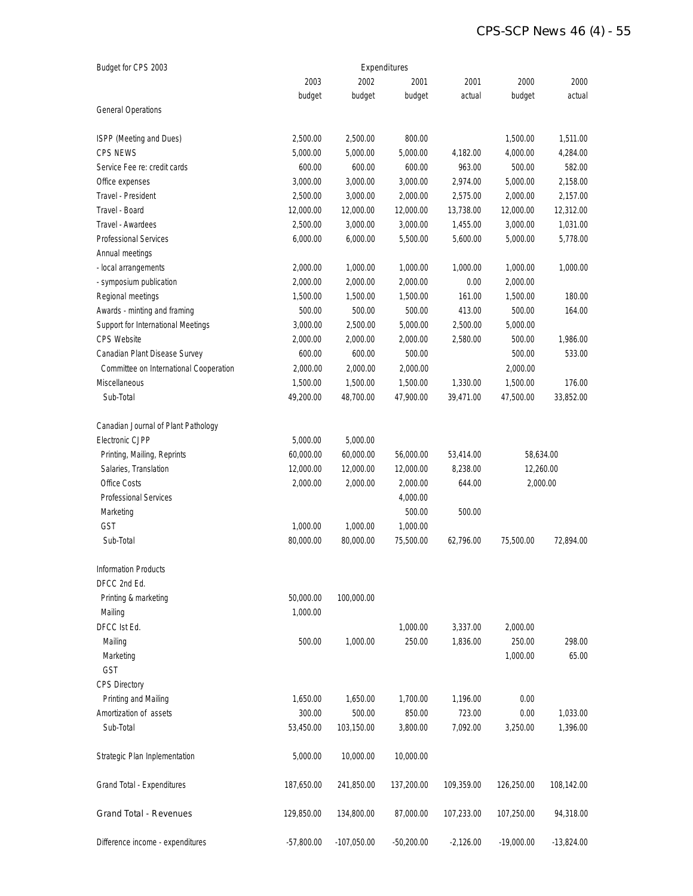### *CPS-SCP News 46 (4) - 55*

| Budget for CPS 2003                    | Expenditures |               |              |             |              |              |  |
|----------------------------------------|--------------|---------------|--------------|-------------|--------------|--------------|--|
|                                        | 2003         | 2002          | 2001         | 2001        | 2000         | 2000         |  |
|                                        | budget       | budget        | budget       | actual      | budget       | actual       |  |
| <b>General Operations</b>              |              |               |              |             |              |              |  |
| ISPP (Meeting and Dues)                | 2,500.00     | 2,500.00      | 800.00       |             | 1,500.00     | 1,511.00     |  |
| <b>CPS NEWS</b>                        | 5,000.00     | 5,000.00      | 5,000.00     | 4,182.00    | 4,000.00     | 4,284.00     |  |
| Service Fee re: credit cards           | 600.00       | 600.00        | 600.00       | 963.00      | 500.00       | 582.00       |  |
| Office expenses                        | 3,000.00     | 3,000.00      | 3,000.00     | 2,974.00    | 5,000.00     | 2,158.00     |  |
| Travel - President                     | 2,500.00     | 3,000.00      | 2,000.00     | 2,575.00    | 2,000.00     | 2,157.00     |  |
| Travel - Board                         | 12,000.00    | 12,000.00     | 12,000.00    | 13,738.00   | 12,000.00    | 12,312.00    |  |
| Travel - Awardees                      | 2,500.00     | 3,000.00      | 3,000.00     | 1,455.00    | 3,000.00     | 1,031.00     |  |
| <b>Professional Services</b>           | 6,000.00     | 6,000.00      | 5,500.00     | 5,600.00    | 5,000.00     | 5,778.00     |  |
| Annual meetings                        |              |               |              |             |              |              |  |
| - local arrangements                   | 2,000.00     | 1,000.00      | 1,000.00     | 1,000.00    | 1,000.00     | 1,000.00     |  |
| - symposium publication                | 2,000.00     | 2,000.00      | 2,000.00     | 0.00        | 2,000.00     |              |  |
| Regional meetings                      | 1,500.00     | 1,500.00      | 1,500.00     | 161.00      | 1,500.00     | 180.00       |  |
| Awards - minting and framing           | 500.00       | 500.00        | 500.00       | 413.00      | 500.00       | 164.00       |  |
| Support for International Meetings     | 3,000.00     | 2,500.00      | 5,000.00     | 2,500.00    | 5,000.00     |              |  |
| <b>CPS Website</b>                     | 2,000.00     | 2,000.00      | 2,000.00     | 2,580.00    | 500.00       | 1,986.00     |  |
| Canadian Plant Disease Survey          | 600.00       | 600.00        | 500.00       |             | 500.00       | 533.00       |  |
| Committee on International Cooperation | 2,000.00     | 2,000.00      | 2,000.00     |             | 2,000.00     |              |  |
| Miscellaneous                          | 1,500.00     | 1,500.00      | 1,500.00     | 1,330.00    | 1,500.00     | 176.00       |  |
| Sub-Total                              | 49,200.00    | 48,700.00     | 47,900.00    | 39,471.00   | 47,500.00    | 33,852.00    |  |
| Canadian Journal of Plant Pathology    |              |               |              |             |              |              |  |
| Electronic CJPP                        | 5,000.00     | 5,000.00      |              |             |              |              |  |
| Printing, Mailing, Reprints            | 60,000.00    | 60,000.00     | 56,000.00    | 53,414.00   | 58,634.00    |              |  |
| Salaries, Translation                  | 12,000.00    | 12,000.00     | 12,000.00    | 8,238.00    | 12,260.00    |              |  |
| Office Costs                           | 2,000.00     | 2,000.00      | 2,000.00     | 644.00      |              | 2,000.00     |  |
| <b>Professional Services</b>           |              |               | 4,000.00     |             |              |              |  |
| Marketing                              |              |               | 500.00       | 500.00      |              |              |  |
| GST                                    | 1,000.00     | 1,000.00      | 1,000.00     |             |              |              |  |
| Sub-Total                              | 80,000.00    | 80,000.00     | 75,500.00    | 62,796.00   | 75,500.00    | 72,894.00    |  |
| <b>Information Products</b>            |              |               |              |             |              |              |  |
| DFCC 2nd Ed.                           |              |               |              |             |              |              |  |
| Printing & marketing                   | 50,000.00    | 100,000.00    |              |             |              |              |  |
| Mailing                                | 1,000.00     |               |              |             |              |              |  |
| DFCC Ist Ed.                           |              |               | 1,000.00     | 3,337.00    | 2,000.00     |              |  |
| Mailing                                | 500.00       | 1,000.00      | 250.00       | 1,836.00    | 250.00       | 298.00       |  |
| Marketing                              |              |               |              |             | 1,000.00     | 65.00        |  |
| GST                                    |              |               |              |             |              |              |  |
| <b>CPS Directory</b>                   |              |               |              |             |              |              |  |
| Printing and Mailing                   | 1,650.00     | 1,650.00      | 1,700.00     | 1,196.00    | 0.00         |              |  |
| Amortization of assets                 | 300.00       | 500.00        | 850.00       | 723.00      | 0.00         | 1,033.00     |  |
| Sub-Total                              | 53,450.00    | 103,150.00    | 3,800.00     | 7,092.00    | 3,250.00     | 1,396.00     |  |
| Strategic Plan Inplementation          | 5,000.00     | 10,000.00     | 10,000.00    |             |              |              |  |
| Grand Total - Expenditures             | 187,650.00   | 241,850.00    | 137,200.00   | 109,359.00  | 126,250.00   | 108,142.00   |  |
| Grand Total - Revenues                 | 129,850.00   | 134,800.00    | 87,000.00    | 107,233.00  | 107,250.00   | 94,318.00    |  |
| Difference income - expenditures       | $-57,800.00$ | $-107,050.00$ | $-50,200.00$ | $-2,126.00$ | $-19,000.00$ | $-13,824.00$ |  |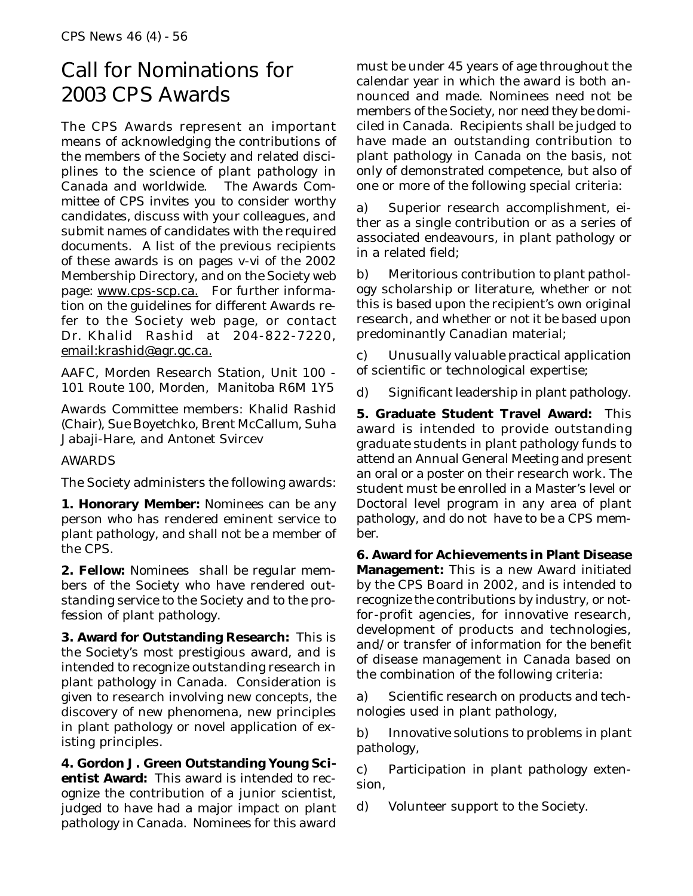# Call for Nominations for 2003 CPS Awards

The CPS Awards represent an important means of acknowledging the contributions of the members of the Society and related disciplines to the science of plant pathology in Canada and worldwide. The Awards Committee of CPS invites you to consider worthy candidates, discuss with your colleagues, and submit names of candidates with the required documents. A list of the previous recipients of these awards is on pages v-vi of the 2002 Membership Directory, and on the Society web page: www.cps-scp.ca. For further information on the guidelines for different Awards refer to the Society web page, or contact Dr. Khalid Rashid at 204-822-7220, email:krashid@agr.gc.ca.

AAFC, Morden Research Station, Unit 100 - 101 Route 100, Morden, Manitoba R6M 1Y5

Awards Committee members: Khalid Rashid (Chair), Sue Boyetchko, Brent McCallum, Suha Jabaji-Hare, and Antonet Svircev

### AWARDS

The Society administers the following awards:

**1. Honorary Member:** Nominees can be any person who has rendered eminent service to plant pathology, and shall not be a member of the CPS.

**2. Fellow:** Nominees shall be regular members of the Society who have rendered outstanding service to the Society and to the profession of plant pathology.

**3. Award for Outstanding Research:** This is the Society's most prestigious award, and is intended to recognize outstanding research in plant pathology in Canada. Consideration is given to research involving new concepts, the discovery of new phenomena, new principles in plant pathology or novel application of existing principles.

**4. Gordon J. Green Outstanding Young Scientist Award:** This award is intended to recognize the contribution of a junior scientist, judged to have had a major impact on plant pathology in Canada. Nominees for this award must be under 45 years of age throughout the calendar year in which the award is both announced and made. Nominees need not be members of the Society, nor need they be domiciled in Canada. Recipients shall be judged to have made an outstanding contribution to plant pathology in Canada on the basis, not only of demonstrated competence, but also of one or more of the following special criteria:

a) Superior research accomplishment, either as a single contribution or as a series of associated endeavours, in plant pathology or in a related field;

b) Meritorious contribution to plant pathology scholarship or literature, whether or not this is based upon the recipient's own original research, and whether or not it be based upon predominantly Canadian material;

c) Unusually valuable practical application of scientific or technological expertise;

d) Significant leadership in plant pathology.

**5. Graduate Student Travel Award:** This award is intended to provide outstanding graduate students in plant pathology funds to attend an Annual General Meeting and present an oral or a poster on their research work. The student must be enrolled in a Master's level or Doctoral level program in any area of plant pathology, and do not have to be a CPS member.

**6. Award for Achievements in Plant Disease Management:** This is a new Award initiated by the CPS Board in 2002, and is intended to recognize the contributions by industry, or notfor-profit agencies, for innovative research, development of products and technologies, and/or transfer of information for the benefit of disease management in Canada based on the combination of the following criteria:

a) Scientific research on products and technologies used in plant pathology,

b) Innovative solutions to problems in plant pathology,

c) Participation in plant pathology extension,

d) Volunteer support to the Society.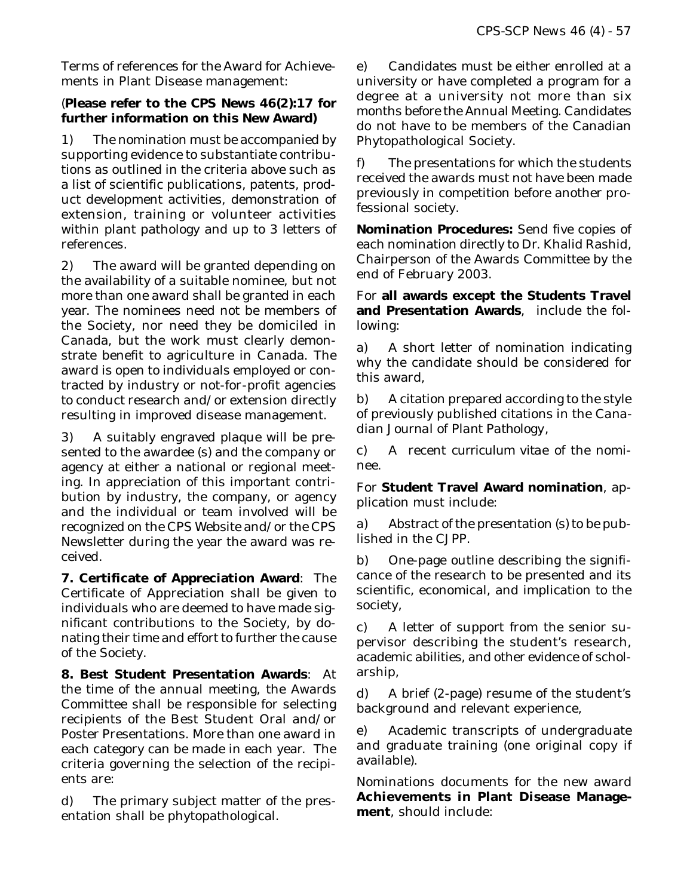Terms of references for the Award for Achievements in Plant Disease management:

### (**Please refer to the** *CPS News* **46(2):17 for further information on this New Award)**

1) The nomination must be accompanied by supporting evidence to substantiate contributions as outlined in the criteria above such as a list of scientific publications, patents, product development activities, demonstration of extension, training or volunteer activities within plant pathology and up to 3 letters of references.

2) The award will be granted depending on the availability of a suitable nominee, but not more than one award shall be granted in each year. The nominees need not be members of the Society, nor need they be domiciled in Canada, but the work must clearly demonstrate benefit to agriculture in Canada. The award is open to individuals employed or contracted by industry or not-for-profit agencies to conduct research and/or extension directly resulting in improved disease management.

3) A suitably engraved plaque will be presented to the awardee (s) and the company or agency at either a national or regional meeting. In appreciation of this important contribution by industry, the company, or agency and the individual or team involved will be recognized on the CPS Website and/or the CPS Newsletter during the year the award was received.

**7. Certificate of Appreciation Award**: The Certificate of Appreciation shall be given to individuals who are deemed to have made significant contributions to the Society, by donating their time and effort to further the cause of the Society.

**8. Best Student Presentation Awards**: At the time of the annual meeting, the Awards Committee shall be responsible for selecting recipients of the Best Student Oral and/or Poster Presentations. More than one award in each category can be made in each year. The criteria governing the selection of the recipients are:

d) The primary subject matter of the presentation shall be phytopathological.

e) Candidates must be either enrolled at a university or have completed a program for a degree at a university not more than six months before the Annual Meeting. Candidates do not have to be members of the Canadian Phytopathological Society.

f) The presentations for which the students received the awards must not have been made previously in competition before another professional society.

**Nomination Procedures:** Send five copies of each nomination directly to Dr. Khalid Rashid, Chairperson of the Awards Committee by the end of February 2003.

For **all awards except the Students Travel and Presentation Awards**, include the following:

a) A short letter of nomination indicating why the candidate should be considered for this award,

b) A citation prepared according to the style of previously published citations in the *Canadian Journal of Plant Pathology*,

c) A recent *curriculum vitae* of the nominee.

For **Student Travel Award nomination**, application must include:

a) Abstract of the presentation (s) to be published in the *CJPP*.

b) One-page outline describing the significance of the research to be presented and its scientific, economical, and implication to the society,

c) A letter of support from the senior supervisor describing the student's research, academic abilities, and other evidence of scholarship,

d) A brief (2-page) resume of the student's background and relevant experience,

e) Academic transcripts of undergraduate and graduate training (one original copy if available).

Nominations documents for the new award **Achievements in Plant Disease Management**, should include: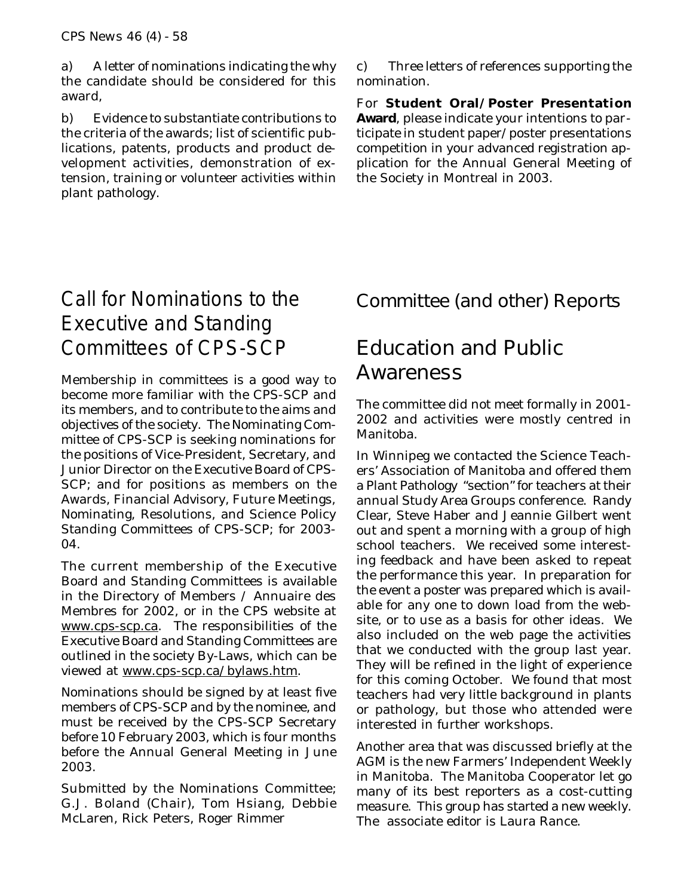a) A letter of nominations indicating the why the candidate should be considered for this award,

b) Evidence to substantiate contributions to the criteria of the awards; list of scientific publications, patents, products and product development activities, demonstration of extension, training or volunteer activities within plant pathology.

c) Three letters of references supporting the nomination.

For **Student Oral/Poster Presentation Award**, please indicate your intentions to participate in student paper/poster presentations competition in your advanced registration application for the Annual General Meeting of the Society in Montreal in 2003.

# Call for Nominations to the Executive and Standing Committees of CPS-SCP

Membership in committees is a good way to become more familiar with the CPS-SCP and its members, and to contribute to the aims and objectives of the society. The Nominating Committee of CPS-SCP is seeking nominations for the positions of Vice-President, Secretary, and Junior Director on the Executive Board of CPS-SCP; and for positions as members on the Awards, Financial Advisory, Future Meetings, Nominating, Resolutions, and Science Policy Standing Committees of CPS-SCP; for 2003- 04.

The current membership of the Executive Board and Standing Committees is available in the Directory of Members / Annuaire des Membres for 2002, or in the CPS website at www.cps-scp.ca. The responsibilities of the Executive Board and Standing Committees are outlined in the society By-Laws, which can be viewed at www.cps-scp.ca/bylaws.htm.

Nominations should be signed by at least five members of CPS-SCP and by the nominee, and must be received by the CPS-SCP Secretary before 10 February 2003, which is four months before the Annual General Meeting in June 2003.

Submitted by the Nominations Committee; G.J. Boland (Chair), Tom Hsiang, Debbie McLaren, Rick Peters, Roger Rimmer

## Committee (and other) Reports

# Education and Public Awareness

The committee did not meet formally in 2001- 2002 and activities were mostly centred in Manitoba.

In Winnipeg we contacted the Science Teachers' Association of Manitoba and offered them a Plant Pathology "section" for teachers at their annual Study Area Groups conference. Randy Clear, Steve Haber and Jeannie Gilbert went out and spent a morning with a group of high school teachers. We received some interesting feedback and have been asked to repeat the performance this year. In preparation for the event a poster was prepared which is available for any one to down load from the website, or to use as a basis for other ideas. We also included on the web page the activities that we conducted with the group last year. They will be refined in the light of experience for this coming October. We found that most teachers had very little background in plants or pathology, but those who attended were interested in further workshops.

Another area that was discussed briefly at the AGM is the new Farmers' Independent Weekly in Manitoba. The Manitoba Cooperator let go many of its best reporters as a cost-cutting measure. This group has started a new weekly. The associate editor is Laura Rance.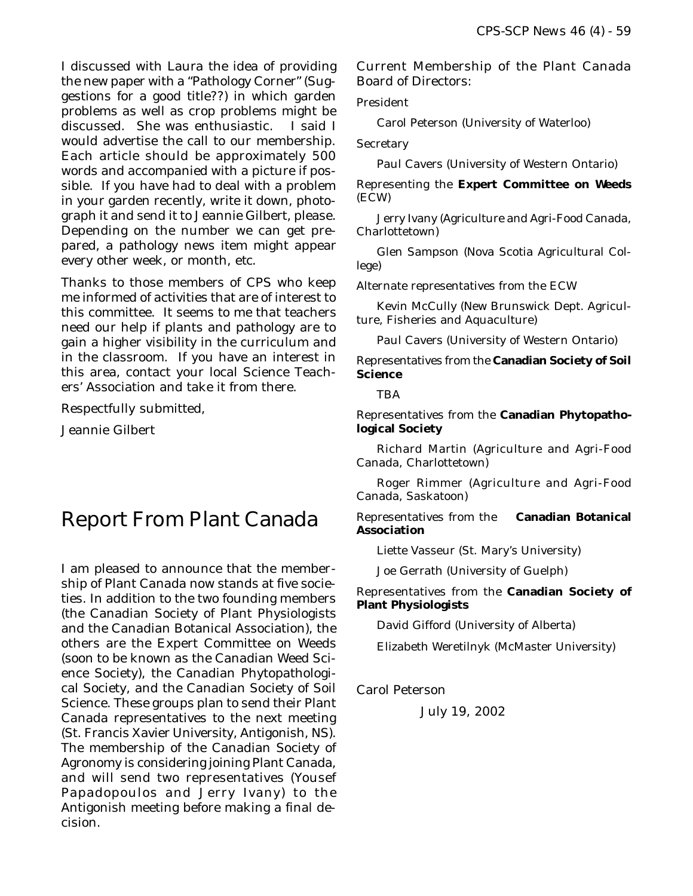I discussed with Laura the idea of providing the new paper with a "Pathology Corner" (Suggestions for a good title??) in which garden problems as well as crop problems might be discussed. She was enthusiastic. I said I would advertise the call to our membership. Each article should be approximately 500 words and accompanied with a picture if possible. If you have had to deal with a problem in your garden recently, write it down, photograph it and send it to Jeannie Gilbert, please. Depending on the number we can get prepared, a pathology news item might appear every other week, or month, *etc*.

Thanks to those members of CPS who keep me informed of activities that are of interest to this committee. It seems to me that teachers need our help if plants and pathology are to gain a higher visibility in the curriculum and in the classroom. If you have an interest in this area, contact your local Science Teachers' Association and take it from there.

Respectfully submitted,

Jeannie Gilbert

# Report From Plant Canada

I am pleased to announce that the membership of Plant Canada now stands at five societies. In addition to the two founding members (the Canadian Society of Plant Physiologists and the Canadian Botanical Association), the others are the Expert Committee on Weeds (soon to be known as the Canadian Weed Science Society), the Canadian Phytopathological Society, and the Canadian Society of Soil Science. These groups plan to send their Plant Canada representatives to the next meeting (St. Francis Xavier University, Antigonish, NS). The membership of the Canadian Society of Agronomy is considering joining Plant Canada, and will send two representatives (Yousef Papadopoulos and Jerry Ivany) to the Antigonish meeting before making a final decision.

Current Membership of the Plant Canada Board of Directors:

President

Carol Peterson (University of Waterloo)

**Secretary** 

Paul Cavers (University of Western Ontario)

Representing the **Expert Committee on Weeds** (ECW)

Jerry Ivany (Agriculture and Agri-Food Canada, Charlottetown)

Glen Sampson (Nova Scotia Agricultural College)

Alternate representatives from the ECW

Kevin McCully (New Brunswick Dept. Agriculture, Fisheries and Aquaculture)

Paul Cavers (University of Western Ontario)

Representatives from the **Canadian Society of Soil Science**

**TBA** 

Representatives from the **Canadian Phytopathological Society**

Richard Martin (Agriculture and Agri-Food Canada, Charlottetown)

Roger Rimmer (Agriculture and Agri-Food Canada, Saskatoon)

Representatives from the **Canadian Botanical Association**

Liette Vasseur (St. Mary's University)

Joe Gerrath (University of Guelph)

Representatives from the **Canadian Society of Plant Physiologists**

David Gifford (University of Alberta)

Elizabeth Weretilnyk (McMaster University)

Carol Peterson

July 19, 2002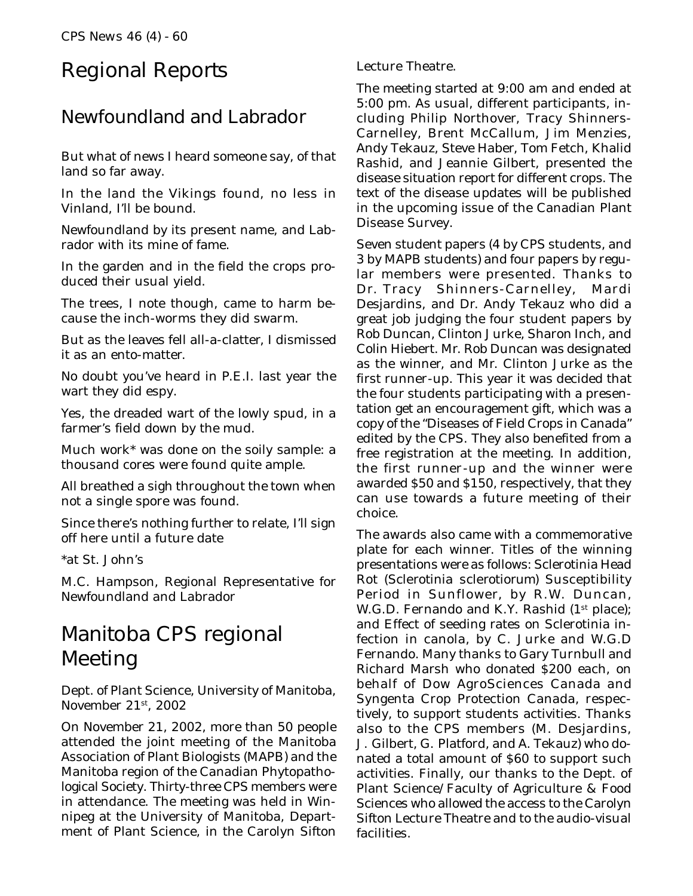# Regional Reports

### Newfoundland and Labrador

But what of news I heard someone say, of that land so far away.

In the land the Vikings found, no less in Vinland, I'll be bound.

Newfoundland by its present name, and Labrador with its mine of fame.

In the garden and in the field the crops produced their usual yield.

The trees, I note though, came to harm because the inch-worms they did swarm.

But as the leaves fell all-a-clatter, I dismissed it as an ento-matter.

No doubt you've heard in P.E.I. last year the wart they did espy.

Yes, the dreaded wart of the lowly spud, in a farmer's field down by the mud.

Much work\* was done on the soily sample: a thousand cores were found quite ample.

All breathed a sigh throughout the town when not a single spore was found.

Since there's nothing further to relate, I'll sign off here until a future date

\*at St. John's

M.C. Hampson, Regional Representative for Newfoundland and Labrador

# Manitoba CPS regional Meeting

Dept. of Plant Science, University of Manitoba, November 21st, 2002

On November 21, 2002, more than 50 people attended the joint meeting of the Manitoba Association of Plant Biologists (MAPB) and the Manitoba region of the Canadian Phytopathological Society. Thirty-three CPS members were in attendance. The meeting was held in Winnipeg at the University of Manitoba, Department of Plant Science, in the Carolyn Sifton

Lecture Theatre.

The meeting started at 9:00 am and ended at 5:00 pm. As usual, different participants, including Philip Northover, Tracy Shinners-Carnelley, Brent McCallum, Jim Menzies, Andy Tekauz, Steve Haber, Tom Fetch, Khalid Rashid, and Jeannie Gilbert, presented the disease situation report for different crops. The text of the disease updates will be published in the upcoming issue of the Canadian Plant Disease Survey.

Seven student papers (4 by CPS students, and 3 by MAPB students) and four papers by regular members were presented. Thanks to Dr. Tracy Shinners-Carnelley, Mardi Desjardins, and Dr. Andy Tekauz who did a great job judging the four student papers by Rob Duncan, Clinton Jurke, Sharon Inch, and Colin Hiebert. Mr. Rob Duncan was designated as the winner, and Mr. Clinton Jurke as the first runner-up. This year it was decided that the four students participating with a presentation get an encouragement gift, which was a copy of the "Diseases of Field Crops in Canada" edited by the CPS. They also benefited from a free registration at the meeting. In addition, the first runner-up and the winner were awarded \$50 and \$150, respectively, that they can use towards a future meeting of their choice.

The awards also came with a commemorative plate for each winner. Titles of the winning presentations were as follows: Sclerotinia Head Rot (*Sclerotinia sclerotiorum*) Susceptibility Period in Sunflower, by R.W. Duncan, W.G.D. Fernando and K.Y. Rashid (1<sup>st</sup> place); and Effect of seeding rates on Sclerotinia infection in canola, by C. Jurke and W.G.D Fernando. Many thanks to Gary Turnbull and Richard Marsh who donated \$200 each, on behalf of Dow AgroSciences Canada and Syngenta Crop Protection Canada, respectively, to support students activities. Thanks also to the CPS members (M. Desjardins, J. Gilbert, G. Platford, and A. Tekauz) who donated a total amount of \$60 to support such activities. Finally, our thanks to the Dept. of Plant Science/Faculty of Agriculture & Food Sciences who allowed the access to the Carolyn Sifton Lecture Theatre and to the audio-visual facilities.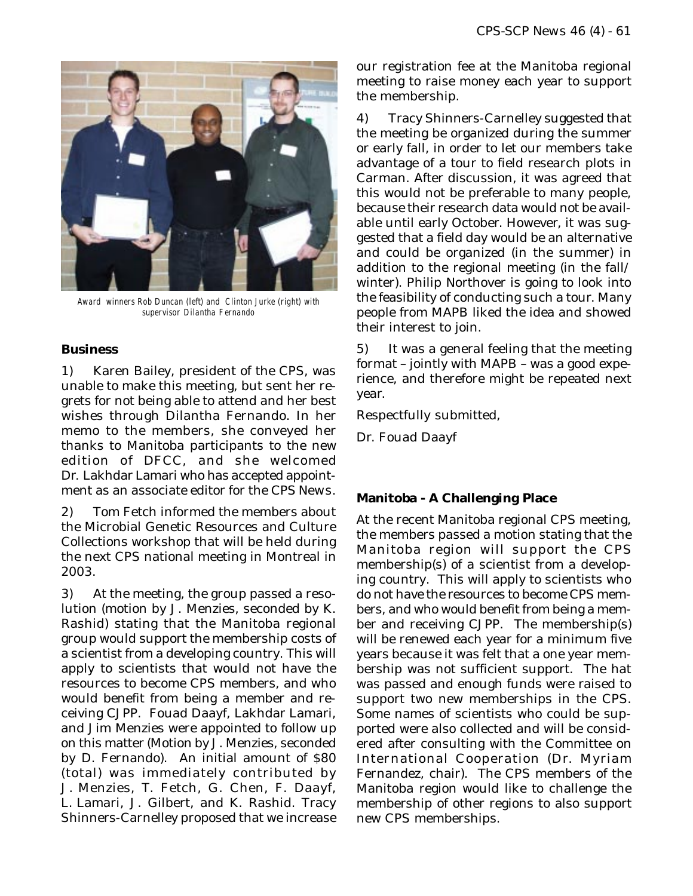

Award winners Rob Duncan (left) and Clinton Jurke (right) with supervisor Dilantha Fernando

#### **Business**

1) Karen Bailey, president of the CPS, was unable to make this meeting, but sent her regrets for not being able to attend and her best wishes through Dilantha Fernando. In her memo to the members, she conveyed her thanks to Manitoba participants to the new edition of *DFCC*, and she welcomed Dr. Lakhdar Lamari who has accepted appointment as an associate editor for the *CPS News*.

2) Tom Fetch informed the members about the Microbial Genetic Resources and Culture Collections workshop that will be held during the next CPS national meeting in Montreal in 2003.

3) At the meeting, the group passed a resolution (motion by J. Menzies, seconded by K. Rashid) stating that the Manitoba regional group would support the membership costs of a scientist from a developing country. This will apply to scientists that would not have the resources to become CPS members, and who would benefit from being a member and receiving *CJPP*. Fouad Daayf, Lakhdar Lamari, and Jim Menzies were appointed to follow up on this matter (Motion by J. Menzies, seconded by D. Fernando). An initial amount of \$80 (total) was immediately contributed by J. Menzies, T. Fetch, G. Chen, F. Daayf, L. Lamari, J. Gilbert, and K. Rashid. Tracy Shinners-Carnelley proposed that we increase

our registration fee at the Manitoba regional meeting to raise money each year to support the membership.

4) Tracy Shinners-Carnelley suggested that the meeting be organized during the summer or early fall, in order to let our members take advantage of a tour to field research plots in Carman. After discussion, it was agreed that this would not be preferable to many people, because their research data would not be available until early October. However, it was suggested that a field day would be an alternative and could be organized (in the summer) in addition to the regional meeting (in the fall/ winter). Philip Northover is going to look into the feasibility of conducting such a tour. Many people from MAPB liked the idea and showed their interest to join.

5) It was a general feeling that the meeting format – jointly with MAPB – was a good experience, and therefore might be repeated next year.

Respectfully submitted,

Dr. Fouad Daayf

### **Manitoba - A Challenging Place**

At the recent Manitoba regional CPS meeting, the members passed a motion stating that the Manitoba region will support the CPS membership(s) of a scientist from a developing country. This will apply to scientists who do not have the resources to become CPS members, and who would benefit from being a member and receiving *CJPP*. The membership(s) will be renewed each year for a minimum five years because it was felt that a one year membership was not sufficient support. The hat was passed and enough funds were raised to support two new memberships in the CPS. Some names of scientists who could be supported were also collected and will be considered after consulting with the Committee on International Cooperation (Dr. Myriam Fernandez, chair). The CPS members of the Manitoba region would like to challenge the membership of other regions to also support new CPS memberships.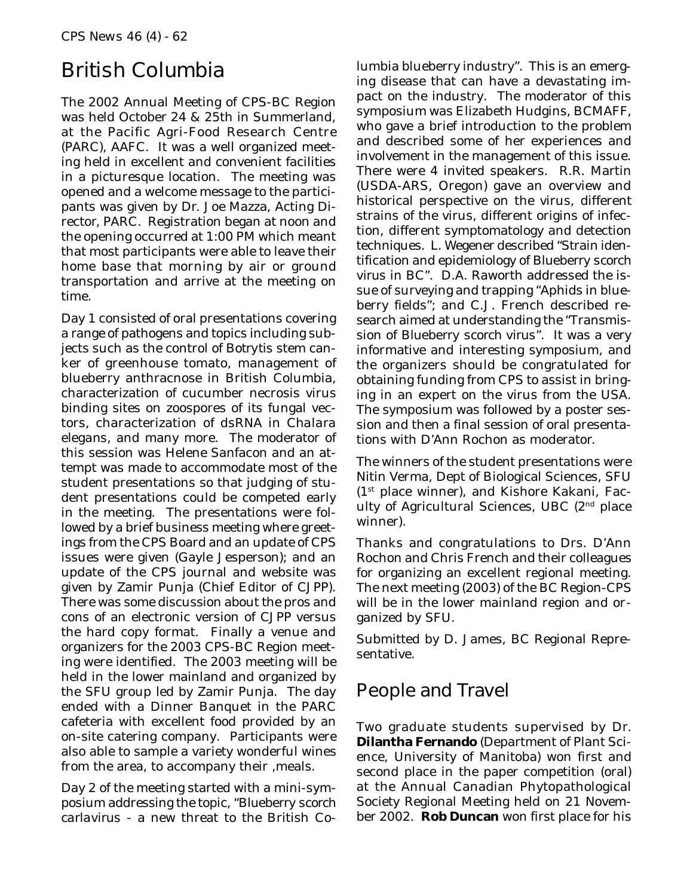# British Columbia

The 2002 Annual Meeting of CPS-BC Region was held October 24 & 25th in Summerland, at the Pacific Agri-Food Research Centre (PARC), AAFC. It was a well organized meeting held in excellent and convenient facilities in a picturesque location. The meeting was opened and a welcome message to the participants was given by Dr. Joe Mazza, Acting Director, PARC. Registration began at noon and the opening occurred at 1:00 PM which meant that most participants were able to leave their home base that morning by air or ground transportation and arrive at the meeting on time.

Day 1 consisted of oral presentations covering a range of pathogens and topics including subjects such as the control of *Botrytis* stem canker of greenhouse tomato, management of blueberry anthracnose in British Columbia, characterization of cucumber necrosis virus binding sites on zoospores of its fungal vectors, characterization of dsRNA in *Chalara elegans*, and many more. The moderator of this session was Helene Sanfacon and an attempt was made to accommodate most of the student presentations so that judging of student presentations could be competed early in the meeting. The presentations were followed by a brief business meeting where greetings from the CPS Board and an update of CPS issues were given (Gayle Jesperson); and an update of the CPS journal and website was given by Zamir Punja (Chief Editor of *CJPP*). There was some discussion about the pros and cons of an electronic version of *CJPP* versus the hard copy format. Finally a venue and organizers for the 2003 CPS-BC Region meeting were identified. The 2003 meeting will be held in the lower mainland and organized by the SFU group led by Zamir Punja. The day ended with a Dinner Banquet in the PARC cafeteria with excellent food provided by an on-site catering company. Participants were also able to sample a variety wonderful wines from the area, to accompany their ,meals.

Day 2 of the meeting started with a mini-symposium addressing the topic, "*Blueberry scorch carlavirus* - a new threat to the British Columbia blueberry industry". This is an emerging disease that can have a devastating impact on the industry. The moderator of this symposium was Elizabeth Hudgins, BCMAFF, who gave a brief introduction to the problem and described some of her experiences and involvement in the management of this issue. There were 4 invited speakers. R.R. Martin (USDA-ARS, Oregon) gave an overview and historical perspective on the virus, different strains of the virus, different origins of infection, different symptomatology and detection techniques. L. Wegener described "Strain identification and epidemiology of *Blueberry scorch virus* in BC". D.A. Raworth addressed the issue of surveying and trapping "Aphids in blueberry fields"; and C.J. French described research aimed at understanding the "Transmission of *Blueberry scorch virus*". It was a very informative and interesting symposium, and the organizers should be congratulated for obtaining funding from CPS to assist in bringing in an expert on the virus from the USA. The symposium was followed by a poster session and then a final session of oral presentations with D'Ann Rochon as moderator.

The winners of the student presentations were Nitin Verma, Dept of Biological Sciences, SFU (1st place winner), and Kishore Kakani, Faculty of Agricultural Sciences, UBC (2nd place winner).

Thanks and congratulations to Drs. D'Ann Rochon and Chris French and their colleagues for organizing an excellent regional meeting. The next meeting (2003) of the BC Region-CPS will be in the lower mainland region and organized by SFU.

Submitted by D. James, BC Regional Representative.

### People and Travel

Two graduate students supervised by Dr. **Dilantha Fernando** (Department of Plant Science, University of Manitoba) won first and second place in the paper competition (oral) at the Annual Canadian Phytopathological Society Regional Meeting held on 21 November 2002. **Rob Duncan** won first place for his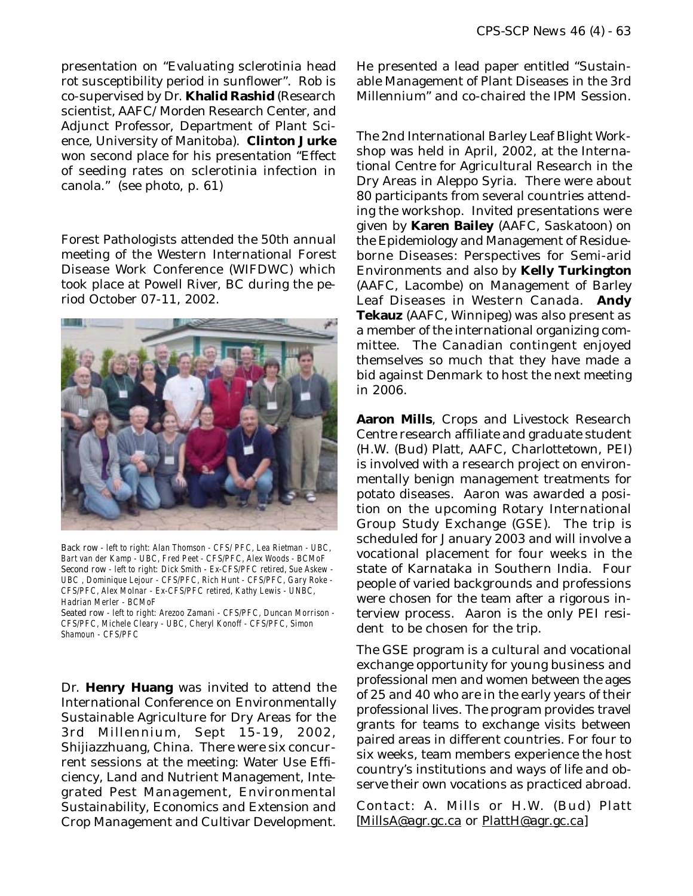presentation on "Evaluating sclerotinia head rot susceptibility period in sunflower". Rob is co-supervised by Dr. **Khalid Rashid** (Research scientist, AAFC/Morden Research Center, and Adjunct Professor, Department of Plant Science, University of Manitoba). **Clinton Jurke** won second place for his presentation "Effect of seeding rates on sclerotinia infection in canola." (see photo, p. 61)

Forest Pathologists attended the 50th annual meeting of the Western International Forest Disease Work Conference (WIFDWC) which took place at Powell River, BC during the period October 07-11, 2002.



Back row - left to right: Alan Thomson - CFS/ PFC, Lea Rietman - UBC, Bart van der Kamp - UBC, Fred Peet - CFS/PFC, Alex Woods - BCMoF Second row - left to right: Dick Smith - Ex-CFS/PFC retired, Sue Askew - UBC , Dominique Lejour - CFS/PFC, Rich Hunt - CFS/PFC, Gary Roke - CFS/PFC, Alex Molnar - Ex-CFS/PFC retired, Kathy Lewis - UNBC, Hadrian Merler - BCMoF

Seated row - left to right: Arezoo Zamani - CFS/PFC, Duncan Morrison - CFS/PFC, Michele Cleary - UBC, Cheryl Konoff - CFS/PFC, Simon Shamoun - CFS/PFC

Dr. **Henry Huang** was invited to attend the International Conference on Environmentally Sustainable Agriculture for Dry Areas for the 3rd Millennium, Sept 15-19, 2002, Shijiazzhuang, China. There were six concurrent sessions at the meeting: Water Use Efficiency, Land and Nutrient Management, Integrated Pest Management, Environmental Sustainability, Economics and Extension and Crop Management and Cultivar Development.

He presented a lead paper entitled "Sustainable Management of Plant Diseases in the 3rd Millennium" and co-chaired the IPM Session.

The 2nd International Barley Leaf Blight Workshop was held in April, 2002, at the International Centre for Agricultural Research in the Dry Areas in Aleppo Syria. There were about 80 participants from several countries attending the workshop. Invited presentations were given by **Karen Bailey** (AAFC, Saskatoon) on the Epidemiology and Management of Residueborne Diseases: Perspectives for Semi-arid Environments and also by **Kelly Turkington** (AAFC, Lacombe) on Management of Barley Leaf Diseases in Western Canada. **Andy Tekauz** (AAFC, Winnipeg) was also present as a member of the international organizing committee. The Canadian contingent enjoyed themselves so much that they have made a bid against Denmark to host the next meeting in 2006.

**Aaron Mills**, Crops and Livestock Research Centre research affiliate and graduate student (H.W. (Bud) Platt, AAFC, Charlottetown, PEI) is involved with a research project on environmentally benign management treatments for potato diseases. Aaron was awarded a position on the upcoming Rotary International Group Study Exchange (GSE). The trip is scheduled for January 2003 and will involve a vocational placement for four weeks in the state of Karnataka in Southern India. Four people of varied backgrounds and professions were chosen for the team after a rigorous interview process. Aaron is the only PEI resident to be chosen for the trip.

The GSE program is a cultural and vocational exchange opportunity for young business and professional men and women between the ages of 25 and 40 who are in the early years of their professional lives. The program provides travel grants for teams to exchange visits between paired areas in different countries. For four to six weeks, team members experience the host country's institutions and ways of life and observe their own vocations as practiced abroad.

Contact: A. Mills or H.W. (Bud) Platt [MillsA@agr.gc.ca or PlattH@agr.gc.ca]